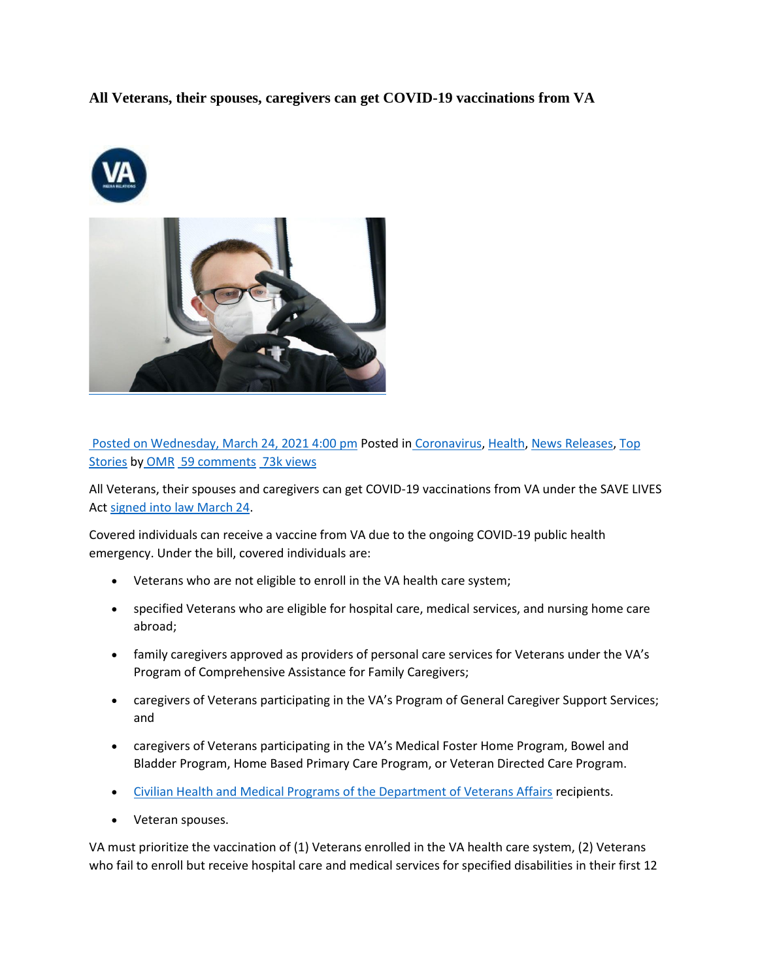## **All Veterans, their spouses, caregivers can get COVID-19 vaccinations from VA**





[Posted on Wednesday, March 24, 2021 4:00 pm](https://blogs.va.gov/VAntage/date/2021/03/24/) Posted in [Coronavirus,](https://blogs.va.gov/VAntage/category/coronavirus/) [Health,](https://blogs.va.gov/VAntage/category/health/) [News Releases,](https://blogs.va.gov/VAntage/category/news-releases/) [Top](https://blogs.va.gov/VAntage/category/top-stories/)  [Stories](https://blogs.va.gov/VAntage/category/top-stories/) by [OMR](https://blogs.va.gov/VAntage/author/omr/) [59 comments](https://blogs.va.gov/VAntage/86532/veterans-spouses-caregivers-can-get-covid-19-vaccinations-va/#comments) [73k views](https://blogs.va.gov/VAntage/86532/veterans-spouses-caregivers-can-get-covid-19-vaccinations-va/)

All Veterans, their spouses and caregivers can get COVID-19 vaccinations from VA under the SAVE LIVES Act [signed into law March 24.](https://www.va.gov/opa/pressrel/pressrelease.cfm?id=5649)

Covered individuals can receive a vaccine from VA due to the ongoing COVID-19 public health emergency. Under the bill, covered individuals are:

- Veterans who are not eligible to enroll in the VA health care system;
- specified Veterans who are eligible for hospital care, medical services, and nursing home care abroad;
- family caregivers approved as providers of personal care services for Veterans under the VA's Program of Comprehensive Assistance for Family Caregivers;
- caregivers of Veterans participating in the VA's Program of General Caregiver Support Services; and
- caregivers of Veterans participating in the VA's Medical Foster Home Program, Bowel and Bladder Program, Home Based Primary Care Program, or Veteran Directed Care Program.
- [Civilian Health and Medical Programs of the Department of Veterans Affairs](https://www.va.gov/health-care/family-caregiver-benefits/champva/) recipients.
- Veteran spouses.

VA must prioritize the vaccination of (1) Veterans enrolled in the VA health care system, (2) Veterans who fail to enroll but receive hospital care and medical services for specified disabilities in their first 12